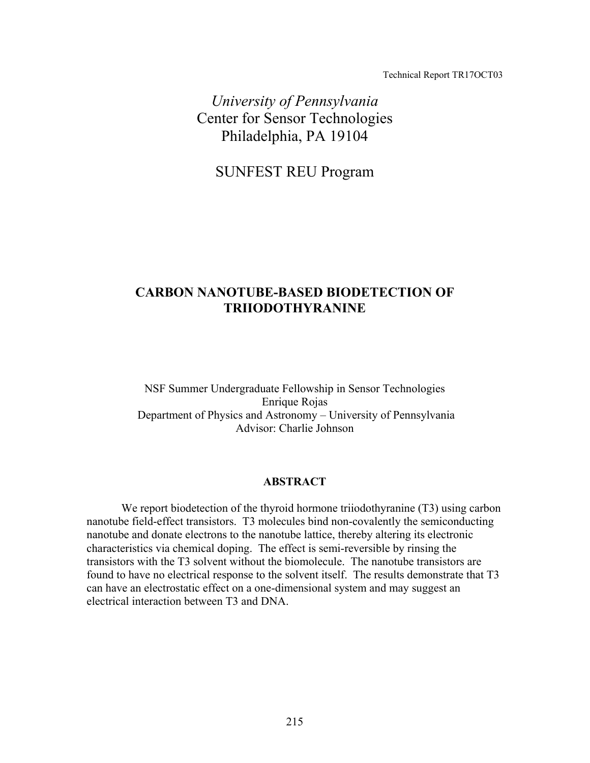Technical Report TR17OCT03

*University of Pennsylvania*  Center for Sensor Technologies Philadelphia, PA 19104

SUNFEST REU Program

# **CARBON NANOTUBE-BASED BIODETECTION OF TRIIODOTHYRANINE**

NSF Summer Undergraduate Fellowship in Sensor Technologies Enrique Rojas Department of Physics and Astronomy – University of Pennsylvania Advisor: Charlie Johnson

# **ABSTRACT**

We report biodetection of the thyroid hormone triiodothyranine (T3) using carbon nanotube field-effect transistors. T3 molecules bind non-covalently the semiconducting nanotube and donate electrons to the nanotube lattice, thereby altering its electronic characteristics via chemical doping. The effect is semi-reversible by rinsing the transistors with the T3 solvent without the biomolecule. The nanotube transistors are found to have no electrical response to the solvent itself. The results demonstrate that T3 can have an electrostatic effect on a one-dimensional system and may suggest an electrical interaction between T3 and DNA.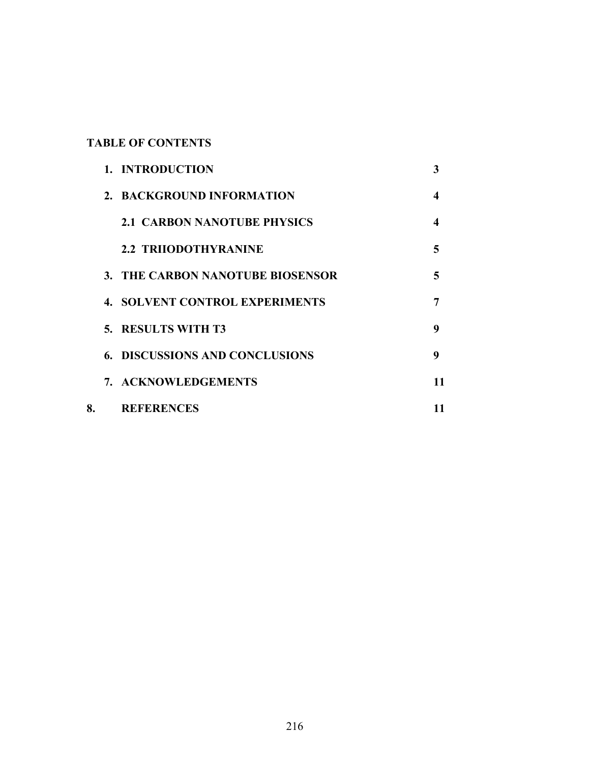# **TABLE OF CONTENTS**

|    | 1. INTRODUCTION                       | 3  |
|----|---------------------------------------|----|
|    | 2. BACKGROUND INFORMATION             | 4  |
|    | <b>2.1 CARBON NANOTUBE PHYSICS</b>    | 4  |
|    | <b>2.2 TRIIODOTHYRANINE</b>           | 5  |
|    | 3. THE CARBON NANOTUBE BIOSENSOR      | 5  |
|    | <b>4. SOLVENT CONTROL EXPERIMENTS</b> | 7  |
|    | 5. RESULTS WITH T3                    | 9  |
|    | <b>6. DISCUSSIONS AND CONCLUSIONS</b> | 9  |
|    | 7. ACKNOWLEDGEMENTS                   | 11 |
| 8. | <b>REFERENCES</b>                     | 11 |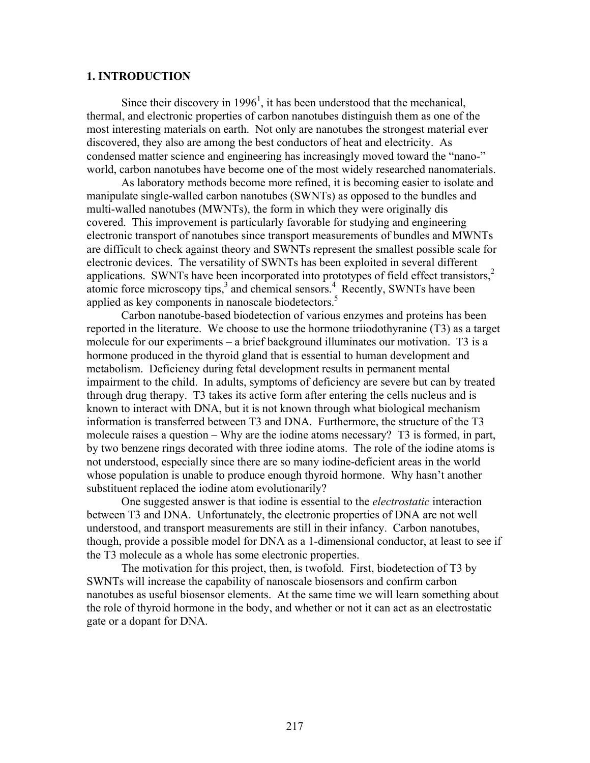## **1. INTRODUCTION**

Since their discovery in  $1996<sup>1</sup>$ , it has been understood that the mechanical, thermal, and electronic properties of carbon nanotubes distinguish them as one of the most interesting materials on earth. Not only are nanotubes the strongest material ever discovered, they also are among the best conductors of heat and electricity. As condensed matter science and engineering has increasingly moved toward the "nano-" world, carbon nanotubes have become one of the most widely researched nanomaterials.

 As laboratory methods become more refined, it is becoming easier to isolate and manipulate single-walled carbon nanotubes (SWNTs) as opposed to the bundles and multi-walled nanotubes (MWNTs), the form in which they were originally dis covered. This improvement is particularly favorable for studying and engineering electronic transport of nanotubes since transport measurements of bundles and MWNTs are difficult to check against theory and SWNTs represent the smallest possible scale for electronic devices. The versatility of SWNTs has been exploited in several different applications. SWNTs have been incorporated into prototypes of field effect transistors,<sup>2</sup> atomic force microscopy tips,<sup>3</sup> and chemical sensors.<sup>4</sup> Recently, SWNTs have been applied as key components in nanoscale biodetectors.<sup>5</sup>

 Carbon nanotube-based biodetection of various enzymes and proteins has been reported in the literature. We choose to use the hormone triiodothyranine (T3) as a target molecule for our experiments – a brief background illuminates our motivation. T3 is a hormone produced in the thyroid gland that is essential to human development and metabolism. Deficiency during fetal development results in permanent mental impairment to the child. In adults, symptoms of deficiency are severe but can by treated through drug therapy. T3 takes its active form after entering the cells nucleus and is known to interact with DNA, but it is not known through what biological mechanism information is transferred between T3 and DNA. Furthermore, the structure of the T3 molecule raises a question – Why are the iodine atoms necessary? T3 is formed, in part, by two benzene rings decorated with three iodine atoms. The role of the iodine atoms is not understood, especially since there are so many iodine-deficient areas in the world whose population is unable to produce enough thyroid hormone. Why hasn't another substituent replaced the iodine atom evolutionarily?

 One suggested answer is that iodine is essential to the *electrostatic* interaction between T3 and DNA. Unfortunately, the electronic properties of DNA are not well understood, and transport measurements are still in their infancy. Carbon nanotubes, though, provide a possible model for DNA as a 1-dimensional conductor, at least to see if the T3 molecule as a whole has some electronic properties.

 The motivation for this project, then, is twofold. First, biodetection of T3 by SWNTs will increase the capability of nanoscale biosensors and confirm carbon nanotubes as useful biosensor elements. At the same time we will learn something about the role of thyroid hormone in the body, and whether or not it can act as an electrostatic gate or a dopant for DNA.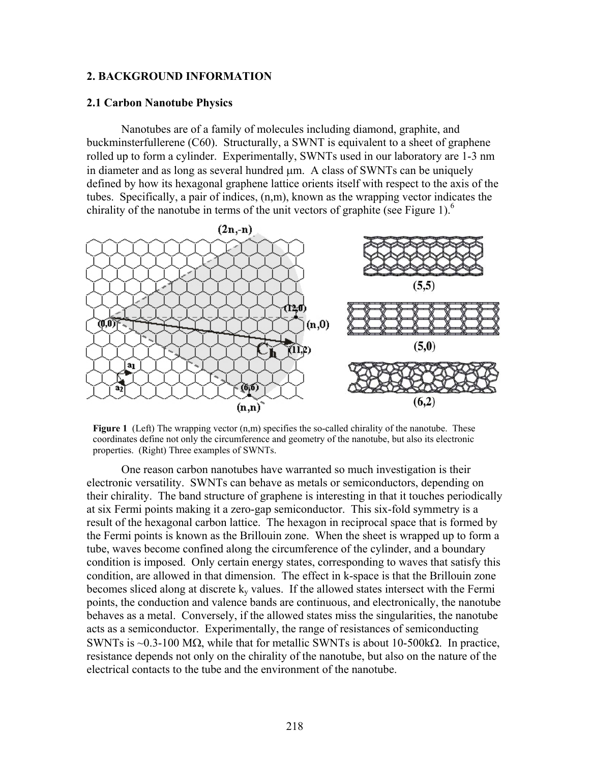### **2. BACKGROUND INFORMATION**

#### **2.1 Carbon Nanotube Physics**

Nanotubes are of a family of molecules including diamond, graphite, and buckminsterfullerene (C60). Structurally, a SWNT is equivalent to a sheet of graphene rolled up to form a cylinder. Experimentally, SWNTs used in our laboratory are 1-3 nm in diameter and as long as several hundred  $\mu$ m. A class of SWNTs can be uniquely defined by how its hexagonal graphene lattice orients itself with respect to the axis of the tubes. Specifically, a pair of indices, (n,m), known as the wrapping vector indicates the chirality of the nanotube in terms of the unit vectors of graphite (see Figure 1). $<sup>6</sup>$ </sup>



**Figure 1** (Left) The wrapping vector (n,m) specifies the so-called chirality of the nanotube. These coordinates define not only the circumference and geometry of the nanotube, but also its electronic properties. (Right) Three examples of SWNTs.

One reason carbon nanotubes have warranted so much investigation is their electronic versatility. SWNTs can behave as metals or semiconductors, depending on their chirality. The band structure of graphene is interesting in that it touches periodically at six Fermi points making it a zero-gap semiconductor. This six-fold symmetry is a result of the hexagonal carbon lattice. The hexagon in reciprocal space that is formed by the Fermi points is known as the Brillouin zone. When the sheet is wrapped up to form a tube, waves become confined along the circumference of the cylinder, and a boundary condition is imposed. Only certain energy states, corresponding to waves that satisfy this condition, are allowed in that dimension. The effect in k-space is that the Brillouin zone becomes sliced along at discrete  $k_y$  values. If the allowed states intersect with the Fermi points, the conduction and valence bands are continuous, and electronically, the nanotube behaves as a metal. Conversely, if the allowed states miss the singularities, the nanotube acts as a semiconductor. Experimentally, the range of resistances of semiconducting SWNTs is ~0.3-100 MΩ, while that for metallic SWNTs is about 10-500 kΩ. In practice, resistance depends not only on the chirality of the nanotube, but also on the nature of the electrical contacts to the tube and the environment of the nanotube.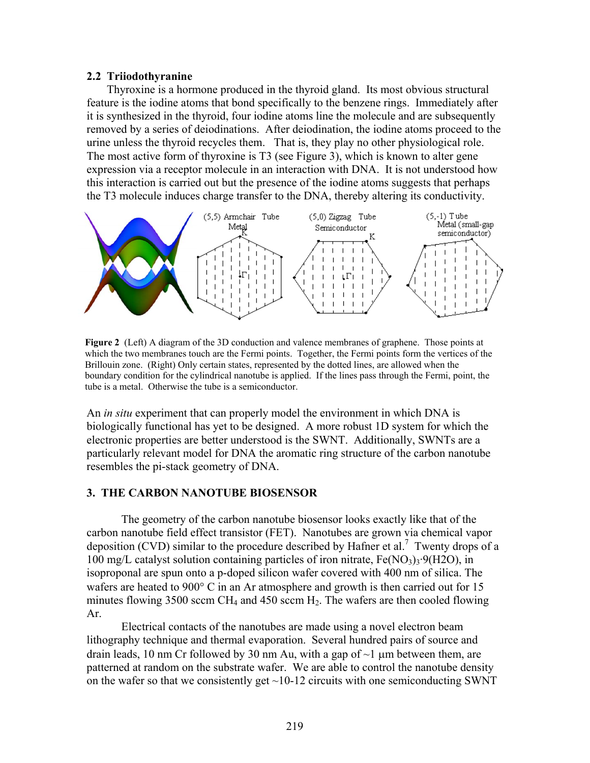#### **2.2 Triiodothyranine**

Thyroxine is a hormone produced in the thyroid gland. Its most obvious structural feature is the iodine atoms that bond specifically to the benzene rings. Immediately after it is synthesized in the thyroid, four iodine atoms line the molecule and are subsequently removed by a series of deiodinations. After deiodination, the iodine atoms proceed to the urine unless the thyroid recycles them. That is, they play no other physiological role. The most active form of thyroxine is T3 (see Figure 3), which is known to alter gene expression via a receptor molecule in an interaction with DNA. It is not understood how this interaction is carried out but the presence of the iodine atoms suggests that perhaps the T3 molecule induces charge transfer to the DNA, thereby altering its conductivity.



**Figure 2** (Left) A diagram of the 3D conduction and valence membranes of graphene. Those points at which the two membranes touch are the Fermi points. Together, the Fermi points form the vertices of the Brillouin zone. (Right) Only certain states, represented by the dotted lines, are allowed when the boundary condition for the cylindrical nanotube is applied. If the lines pass through the Fermi, point, the tube is a metal. Otherwise the tube is a semiconductor.

An *in situ* experiment that can properly model the environment in which DNA is biologically functional has yet to be designed. A more robust 1D system for which the electronic properties are better understood is the SWNT. Additionally, SWNTs are a particularly relevant model for DNA the aromatic ring structure of the carbon nanotube resembles the pi-stack geometry of DNA.

## **3. THE CARBON NANOTUBE BIOSENSOR**

The geometry of the carbon nanotube biosensor looks exactly like that of the carbon nanotube field effect transistor (FET). Nanotubes are grown via chemical vapor deposition (CVD) similar to the procedure described by Hafner et al.<sup>7</sup> Twenty drops of a 100 mg/L catalyst solution containing particles of iron nitrate,  $Fe(NO<sub>3</sub>)<sub>3</sub>·9(H2O)$ , in isoproponal are spun onto a p-doped silicon wafer covered with 400 nm of silica. The wafers are heated to 900° C in an Ar atmosphere and growth is then carried out for 15 minutes flowing 3500 sccm CH<sub>4</sub> and 450 sccm H<sub>2</sub>. The wafers are then cooled flowing Ar.

Electrical contacts of the nanotubes are made using a novel electron beam lithography technique and thermal evaporation. Several hundred pairs of source and drain leads, 10 nm Cr followed by 30 nm Au, with a gap of  $\sim$ 1 µm between them, are patterned at random on the substrate wafer. We are able to control the nanotube density on the wafer so that we consistently get  $\sim$ 10-12 circuits with one semiconducting SWNT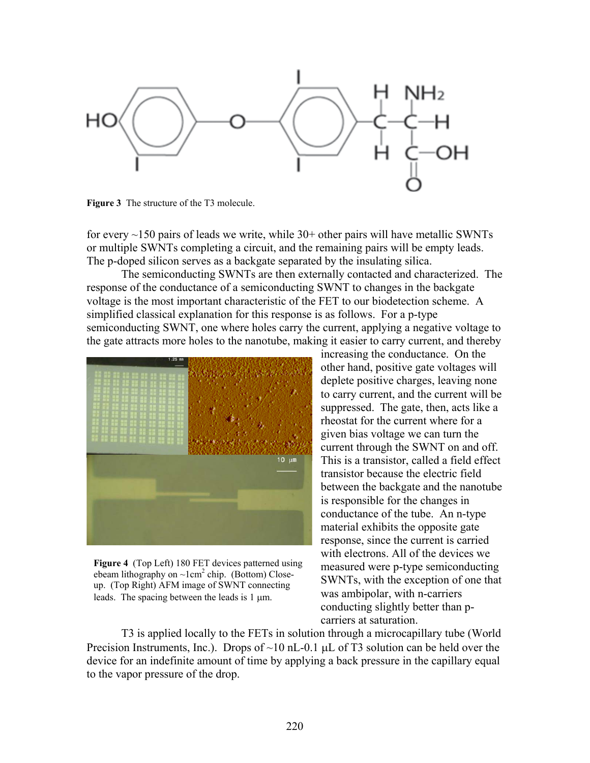

**Figure 3** The structure of the T3 molecule.

for every  $\sim$ 150 pairs of leads we write, while 30+ other pairs will have metallic SWNTs or multiple SWNTs completing a circuit, and the remaining pairs will be empty leads. The p-doped silicon serves as a backgate separated by the insulating silica.

 The semiconducting SWNTs are then externally contacted and characterized. The response of the conductance of a semiconducting SWNT to changes in the backgate voltage is the most important characteristic of the FET to our biodetection scheme. A simplified classical explanation for this response is as follows. For a p-type semiconducting SWNT, one where holes carry the current, applying a negative voltage to the gate attracts more holes to the nanotube, making it easier to carry current, and thereby



**Figure 4** (Top Left) 180 FET devices patterned using ebeam lithography on  $\sim$ 1cm<sup>2</sup> chip. (Bottom) Closeup. (Top Right) AFM image of SWNT connecting leads. The spacing between the leads is 1  $\mu$ m.

increasing the conductance. On the other hand, positive gate voltages will deplete positive charges, leaving none to carry current, and the current will be suppressed. The gate, then, acts like a rheostat for the current where for a given bias voltage we can turn the current through the SWNT on and off. This is a transistor, called a field effect transistor because the electric field between the backgate and the nanotube is responsible for the changes in conductance of the tube. An n-type material exhibits the opposite gate response, since the current is carried with electrons. All of the devices we measured were p-type semiconducting SWNTs, with the exception of one that was ambipolar, with n-carriers conducting slightly better than pcarriers at saturation.

T3 is applied locally to the FETs in solution through a microcapillary tube (World Precision Instruments, Inc.). Drops of  $\sim 10$  nL-0.1 µL of T3 solution can be held over the device for an indefinite amount of time by applying a back pressure in the capillary equal to the vapor pressure of the drop.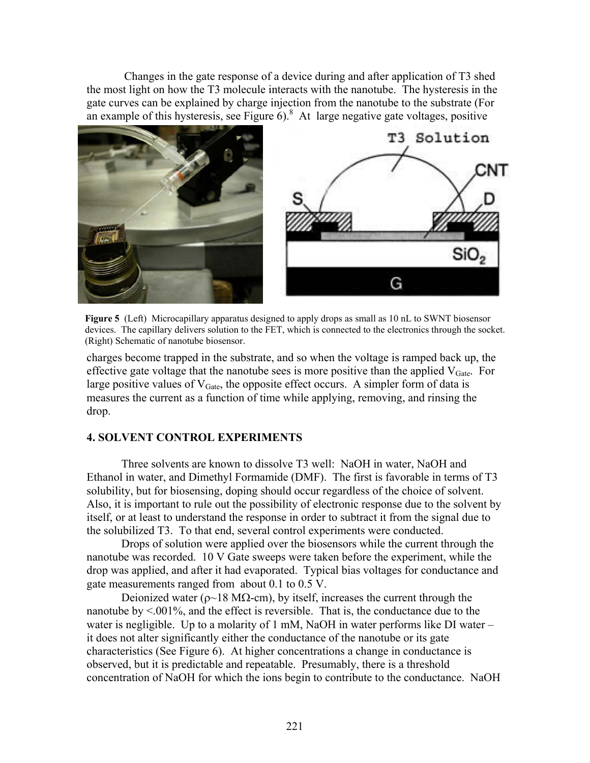Changes in the gate response of a device during and after application of T3 shed the most light on how the T3 molecule interacts with the nanotube. The hysteresis in the gate curves can be explained by charge injection from the nanotube to the substrate (For an example of this hysteresis, see Figure  $6$ ).<sup>8</sup> At large negative gate voltages, positive



**Figure 5** (Left) Microcapillary apparatus designed to apply drops as small as 10 nL to SWNT biosensor devices. The capillary delivers solution to the FET, which is connected to the electronics through the socket. (Right) Schematic of nanotube biosensor.

charges become trapped in the substrate, and so when the voltage is ramped back up, the effective gate voltage that the nanotube sees is more positive than the applied  $V_{\text{Gate}}$ . For large positive values of  $V_{\text{Gate}}$ , the opposite effect occurs. A simpler form of data is measures the current as a function of time while applying, removing, and rinsing the drop.

# **4. SOLVENT CONTROL EXPERIMENTS**

Three solvents are known to dissolve T3 well: NaOH in water, NaOH and Ethanol in water, and Dimethyl Formamide (DMF). The first is favorable in terms of T3 solubility, but for biosensing, doping should occur regardless of the choice of solvent. Also, it is important to rule out the possibility of electronic response due to the solvent by itself, or at least to understand the response in order to subtract it from the signal due to the solubilized T3. To that end, several control experiments were conducted.

 Drops of solution were applied over the biosensors while the current through the nanotube was recorded. 10 V Gate sweeps were taken before the experiment, while the drop was applied, and after it had evaporated. Typical bias voltages for conductance and gate measurements ranged from about 0.1 to 0.5 V.

Deionized water ( $ρ~18$  MΩ-cm), by itself, increases the current through the nanotube by <.001%, and the effect is reversible. That is, the conductance due to the water is negligible. Up to a molarity of 1 mM, NaOH in water performs like DI water – it does not alter significantly either the conductance of the nanotube or its gate characteristics (See Figure 6). At higher concentrations a change in conductance is observed, but it is predictable and repeatable. Presumably, there is a threshold concentration of NaOH for which the ions begin to contribute to the conductance. NaOH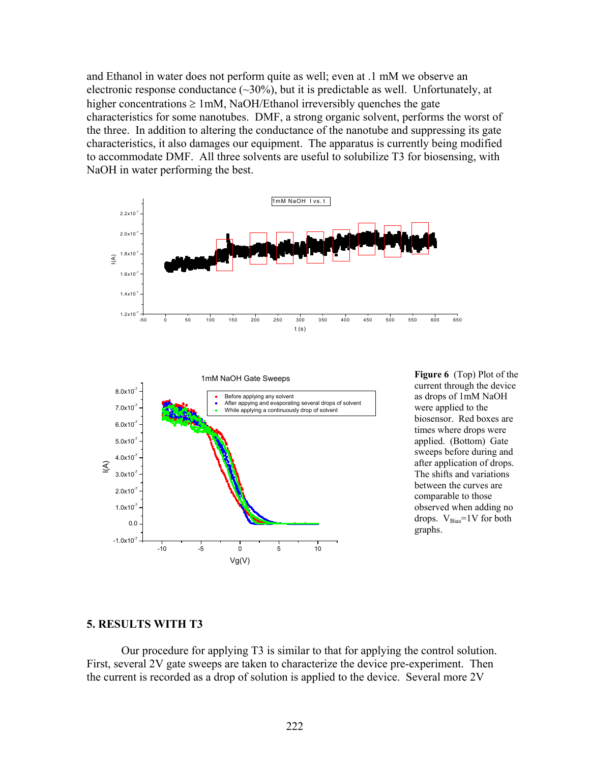and Ethanol in water does not perform quite as well; even at .1 mM we observe an electronic response conductance  $(\sim 30\%)$ , but it is predictable as well. Unfortunately, at higher concentrations  $\geq 1$  mM, NaOH/Ethanol irreversibly quenches the gate characteristics for some nanotubes. DMF, a strong organic solvent, performs the worst of the three. In addition to altering the conductance of the nanotube and suppressing its gate characteristics, it also damages our equipment. The apparatus is currently being modified to accommodate DMF. All three solvents are useful to solubilize T3 for biosensing, with NaOH in water performing the best.





**Figure 6** (Top) Plot of the current through the device as drops of 1mM NaOH were applied to the biosensor. Red boxes are times where drops were applied. (Bottom) Gate sweeps before during and after application of drops. The shifts and variations between the curves are comparable to those observed when adding no drops.  $V_{Bias} = 1V$  for both graphs.

#### **5. RESULTS WITH T3**

Our procedure for applying T3 is similar to that for applying the control solution. First, several 2V gate sweeps are taken to characterize the device pre-experiment. Then the current is recorded as a drop of solution is applied to the device. Several more 2V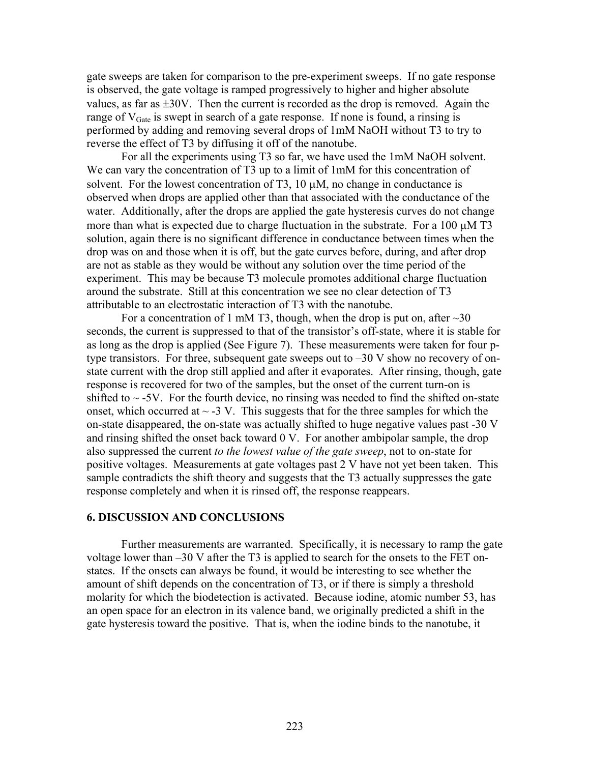gate sweeps are taken for comparison to the pre-experiment sweeps. If no gate response is observed, the gate voltage is ramped progressively to higher and higher absolute values, as far as ±30V. Then the current is recorded as the drop is removed. Again the range of  $V_{\text{Gate}}$  is swept in search of a gate response. If none is found, a rinsing is performed by adding and removing several drops of 1mM NaOH without T3 to try to reverse the effect of T3 by diffusing it off of the nanotube.

 For all the experiments using T3 so far, we have used the 1mM NaOH solvent. We can vary the concentration of T3 up to a limit of 1mM for this concentration of solvent. For the lowest concentration of T3,  $10 \mu M$ , no change in conductance is observed when drops are applied other than that associated with the conductance of the water. Additionally, after the drops are applied the gate hysteresis curves do not change more than what is expected due to charge fluctuation in the substrate. For a  $100 \mu\text{M}$  T3 solution, again there is no significant difference in conductance between times when the drop was on and those when it is off, but the gate curves before, during, and after drop are not as stable as they would be without any solution over the time period of the experiment. This may be because T3 molecule promotes additional charge fluctuation around the substrate. Still at this concentration we see no clear detection of T3 attributable to an electrostatic interaction of T3 with the nanotube.

For a concentration of 1 mM T3, though, when the drop is put on, after  $\sim$ 30 seconds, the current is suppressed to that of the transistor's off-state, where it is stable for as long as the drop is applied (See Figure 7). These measurements were taken for four ptype transistors. For three, subsequent gate sweeps out to  $-30$  V show no recovery of onstate current with the drop still applied and after it evaporates. After rinsing, though, gate response is recovered for two of the samples, but the onset of the current turn-on is shifted to  $\sim$  -5V. For the fourth device, no rinsing was needed to find the shifted on-state onset, which occurred at  $\sim$  -3 V. This suggests that for the three samples for which the on-state disappeared, the on-state was actually shifted to huge negative values past -30 V and rinsing shifted the onset back toward 0 V. For another ambipolar sample, the drop also suppressed the current *to the lowest value of the gate sweep*, not to on-state for positive voltages. Measurements at gate voltages past 2 V have not yet been taken. This sample contradicts the shift theory and suggests that the T3 actually suppresses the gate response completely and when it is rinsed off, the response reappears.

#### **6. DISCUSSION AND CONCLUSIONS**

Further measurements are warranted. Specifically, it is necessary to ramp the gate voltage lower than –30 V after the T3 is applied to search for the onsets to the FET onstates. If the onsets can always be found, it would be interesting to see whether the amount of shift depends on the concentration of T3, or if there is simply a threshold molarity for which the biodetection is activated. Because iodine, atomic number 53, has an open space for an electron in its valence band, we originally predicted a shift in the gate hysteresis toward the positive. That is, when the iodine binds to the nanotube, it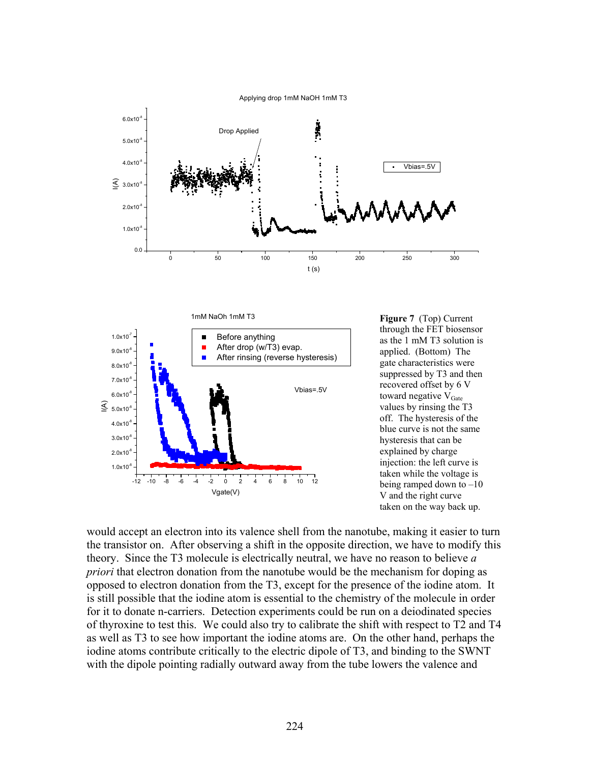Applying drop 1mM NaOH 1mM T3





**Figure 7** (Top) Current through the FET biosensor as the 1 mM T3 solution is applied. (Bottom) The gate characteristics were suppressed by T3 and then recovered offset by 6 V toward negative  $V_{\text{Gate}}$ values by rinsing the T3 off. The hysteresis of the blue curve is not the same hysteresis that can be explained by charge injection: the left curve is taken while the voltage is being ramped down to  $-10$ V and the right curve taken on the way back up.

would accept an electron into its valence shell from the nanotube, making it easier to turn the transistor on. After observing a shift in the opposite direction, we have to modify this theory. Since the T3 molecule is electrically neutral, we have no reason to believe *a priori* that electron donation from the nanotube would be the mechanism for doping as opposed to electron donation from the T3, except for the presence of the iodine atom. It is still possible that the iodine atom is essential to the chemistry of the molecule in order for it to donate n-carriers. Detection experiments could be run on a deiodinated species of thyroxine to test this. We could also try to calibrate the shift with respect to T2 and T4 as well as T3 to see how important the iodine atoms are. On the other hand, perhaps the iodine atoms contribute critically to the electric dipole of T3, and binding to the SWNT with the dipole pointing radially outward away from the tube lowers the valence and